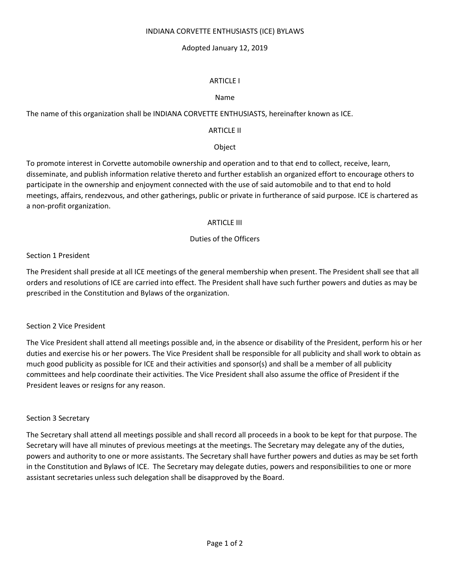#### INDIANA CORVETTE ENTHUSIASTS (ICE) BYLAWS

# Adopted January 12, 2019

# ARTICLE I

# Name

The name of this organization shall be INDIANA CORVETTE ENTHUSIASTS, hereinafter known as ICE.

# ARTICLE II

# **Object**

To promote interest in Corvette automobile ownership and operation and to that end to collect, receive, learn, disseminate, and publish information relative thereto and further establish an organized effort to encourage others to participate in the ownership and enjoyment connected with the use of said automobile and to that end to hold meetings, affairs, rendezvous, and other gatherings, public or private in furtherance of said purpose. ICE is chartered as a non-profit organization.

### ARTICLE III

# Duties of the Officers

### Section 1 President

The President shall preside at all ICE meetings of the general membership when present. The President shall see that all orders and resolutions of ICE are carried into effect. The President shall have such further powers and duties as may be prescribed in the Constitution and Bylaws of the organization.

### Section 2 Vice President

The Vice President shall attend all meetings possible and, in the absence or disability of the President, perform his or her duties and exercise his or her powers. The Vice President shall be responsible for all publicity and shall work to obtain as much good publicity as possible for ICE and their activities and sponsor(s) and shall be a member of all publicity committees and help coordinate their activities. The Vice President shall also assume the office of President if the President leaves or resigns for any reason.

### Section 3 Secretary

The Secretary shall attend all meetings possible and shall record all proceeds in a book to be kept for that purpose. The Secretary will have all minutes of previous meetings at the meetings. The Secretary may delegate any of the duties, powers and authority to one or more assistants. The Secretary shall have further powers and duties as may be set forth in the Constitution and Bylaws of ICE. The Secretary may delegate duties, powers and responsibilities to one or more assistant secretaries unless such delegation shall be disapproved by the Board.